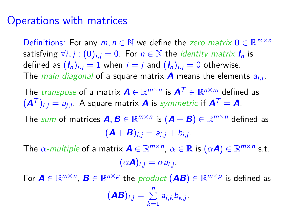## Operations with matrices

Definitions: For any  $m, n \in \mathbb{N}$  we define the zero matrix  $0 \in \mathbb{R}^{m \times n}$ satisfying  $\forall i, j : (0)_{i,i} = 0$ . For  $n \in \mathbb{N}$  the *identity matrix*  $I_n$  is defined as  $(I_n)_{i,i} = 1$  when  $i = j$  and  $(I_n)_{i,i} = 0$  otherwise. The main diagonal of a square matrix **A** means the elements ai*,*<sup>i</sup> .

The  $\mathit{transpose}$  of a matrix  $\boldsymbol{A}\in\mathbb{R}^{m\times n}$  is  $\boldsymbol{A}^{\mathcal{T}}\in\mathbb{R}^{n\times m}$  defined as  $(\bm{A}^{\mathcal{T}})_{i,j} = a_{j,i}.$  A square matrix  $\bm{A}$  is symmetric if  $\bm{A}^{\mathcal{T}} = \bm{A}.$ 

The sum of matrices  $\bm{A}, \bm{B} \in \mathbb{R}^{m \times n}$  is  $(\bm{A} + \bm{B}) \in \mathbb{R}^{m \times n}$  defined as  $({\bm A} + {\bm B})_{i,j} = a_{i,j} + b_{i,j}.$ 

The  $\alpha$ -multiple of a matrix  $\mathbf{A} \in \mathbb{R}^{m \times n}$ ,  $\alpha \in \mathbb{R}$  is  $(\alpha \mathbf{A}) \in \mathbb{R}^{m \times n}$  s.t.  $(\alpha \mathbf{A})_{i,j} = \alpha a_{i,j}.$ 

For  $A \in \mathbb{R}^{m \times n}$ ,  $B \in \mathbb{R}^{n \times p}$  the product  $(AB) \in \mathbb{R}^{m \times p}$  is defined as  $(AB)_{i,j} = \sum_{j=1}^{n}$  $\sum_{k=1} a_{i,k} b_{k,j}$ .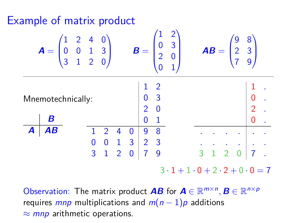# Example of matrix product

|                                                                              | $\mathbf{A} = \begin{pmatrix} 1 & 2 & 4 & 0 \\ 0 & 0 & 1 & 3 \\ 3 & 1 & 2 & 0 \end{pmatrix}$ |  |                                                                                                              |  | $B =$ |                |                | $\begin{pmatrix} 1 & 2 \\ 0 & 3 \\ 2 & 0 \end{pmatrix}$ |                                        |  | $AB = \begin{pmatrix} 9 & 8 \\ 2 & 3 \\ 7 & 9 \end{pmatrix}$                                        |  |  |
|------------------------------------------------------------------------------|----------------------------------------------------------------------------------------------|--|--------------------------------------------------------------------------------------------------------------|--|-------|----------------|----------------|---------------------------------------------------------|----------------------------------------|--|-----------------------------------------------------------------------------------------------------|--|--|
|                                                                              |                                                                                              |  |                                                                                                              |  |       |                |                |                                                         |                                        |  |                                                                                                     |  |  |
| $\begin{bmatrix} 1 & 2 \\ 0 & 3 \\ 2 & 0 \end{bmatrix}$<br>Mnemotechnically: |                                                                                              |  |                                                                                                              |  |       |                |                |                                                         | $\begin{bmatrix} 0 \\ 2 \end{bmatrix}$ |  |                                                                                                     |  |  |
|                                                                              |                                                                                              |  |                                                                                                              |  |       |                |                |                                                         |                                        |  |                                                                                                     |  |  |
|                                                                              | В                                                                                            |  |                                                                                                              |  |       | $\overline{0}$ | $\overline{1}$ |                                                         |                                        |  |                                                                                                     |  |  |
| $\boldsymbol{A}$                                                             | AB                                                                                           |  | $\sqrt{2}$                                                                                                   |  |       |                |                |                                                         |                                        |  |                                                                                                     |  |  |
|                                                                              |                                                                                              |  |                                                                                                              |  |       |                |                |                                                         |                                        |  |                                                                                                     |  |  |
|                                                                              |                                                                                              |  | $\begin{array}{ccccccc} 1 & 2 & 4 & 0 & 9 & 8 \\ 0 & 0 & 1 & 3 & 2 & 3 \\ 3 & 1 & 2 & 0 & 7 & 9 \end{array}$ |  |       |                |                |                                                         | 3                                      |  | $\begin{array}{c c c c c c c c c} \hline . & . & . & . & . \\ \hline 1 & 2 & 0 & 7 & . \end{array}$ |  |  |
|                                                                              |                                                                                              |  |                                                                                                              |  |       |                |                | $3 \cdot 1 + 1 \cdot 0 + 2 \cdot 2 + 0 \cdot 0 = 7$     |                                        |  |                                                                                                     |  |  |

Observation: The matrix product **AB** for  $\mathbf{A} \in \mathbb{R}^{m \times n}$ ,  $\mathbf{B} \in \mathbb{R}^{n \times p}$ requires *mnp* multiplications and  $m(n-1)p$  additions  $\approx$  mnp arithmetic operations.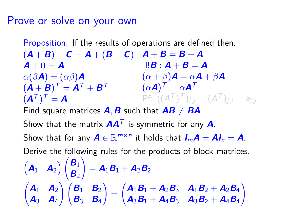## Prove or solve on your own

Proposition: If the results of operations are defined then:

 $(\bm{A}+\bm{B})+\bm{C}=\bm{A}+(\bm{B}+\bm{C})\quad \bm{A}+\bm{B}=\bm{B}+\bm{A}$  $A + 0 = A$  $\alpha(\beta \boldsymbol{A}) = (\alpha \beta) \boldsymbol{A}$  $(\boldsymbol{A} + \boldsymbol{B})^{\mathsf{T}} = \boldsymbol{A}^{\mathsf{T}} + \boldsymbol{B}^{\mathsf{T}}$  $(\mathbf{A}^{\mathcal{T}})^{\mathcal{T}} = \mathbf{A}$  $\exists \bm{B} : \bm{A} + \bm{B} = \bm{A}$  $(\alpha + \beta)$ **A** =  $\alpha$ **A** +  $\beta$ **A**  $(\alpha \mathbf{A})^{\mathsf{T}} = \alpha \mathbf{A}^{\mathsf{T}}$ Pf:  $((A^T)^T)_{i,j} = (A^T)_{j,i} = a_{i,j}$ Find square matrices  $\vec{A}$ ,  $\vec{B}$  such that  $\vec{AB} \neq \vec{BA}$ . Show that the matrix  $AA<sup>T</sup>$  is symmetric for any  $A$ . Show that for any  $A \in \mathbb{R}^{m \times n}$  it holds that  $I_m A = AI_n = A$ . Derive the following rules for the products of block matrices.  $\begin{pmatrix} A_1 & A_2 \end{pmatrix} \begin{pmatrix} B_1 & B_2 \end{pmatrix}$ **B**<sup>2</sup>  $\setminus$  $=$   $A_1B_1 + A_2B_2$  $\begin{pmatrix} A_1 & A_2 \end{pmatrix}$ **A**<sup>3</sup> **A**<sup>4</sup>  $\bigwedge$   $\bigwedge$  **B**<sub>2</sub> **B**<sup>3</sup> **B**<sup>4</sup>  $\setminus$ =  $A_1B_1 + A_2B_3$   $A_1B_2 + A_2B_4$  $A_3B_1 + A_4B_3$   $A_3B_2 + A_4B_4$  $\setminus$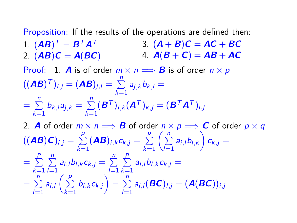Proposition: If the results of the operations are defined then:  $1.$   $(AB)^{T} = B^{T}A^{T}$ 2. (**AB**)**C** = **A**(**BC**) 4. **A**(**B** + **C**) = **AB** + **AC** 3.  $(A + B)C = AC + BC$ Proof: 1. **A** is of order  $m \times n \implies$  **B** is of order  $n \times p$  $((\bm{A}\bm{B})^{\bm{\top}})_{i,j} = (\bm{A}\bm{B})_{j,i} = \sum_{i=1}^{n}$  $\sum\limits_{k=1}^{\infty}a_{j,k}b_{k,i}=$  $=$   $\sum_{n=1}^{n}$  $\sum_{k=1}^{n} b_{k,i} a_{j,k} = \sum_{k=1}^{n}$  $\sum_{k=1}^{N} (\bm{B}^{T})_{i,k} (\bm{A}^{T})_{k,j} = (\bm{B}^{T} \bm{A}^{T})_{i,j}$ 2. **A** of order  $m \times n \Longrightarrow$  **B** of order  $n \times p \Longrightarrow$  **C** of order  $p \times q$  $((\boldsymbol{A}\boldsymbol{B})\boldsymbol{C})_{i,j} = \ \sum \limits$ p  $\sum\limits_{k=1}$  (**AB**)<sub>i,k</sub> c<sub>k</sub>,j =  $\sum\limits_{k=1}$ p  $k=1$  $\left(\frac{n}{2}\right)$  $\sum_{l=1}^n a_{i,l} b_{l,k}$   $c_{k,j} =$ p p

$$
= \sum_{k=1}^{p} \sum_{l=1}^{n} a_{i,l} b_{l,k} c_{k,j} = \sum_{l=1}^{n} \sum_{k=1}^{p} a_{i,l} b_{l,k} c_{k,j} =
$$
  
= 
$$
\sum_{l=1}^{n} a_{i,l} \left( \sum_{k=1}^{p} b_{l,k} c_{k,j} \right) = \sum_{l=1}^{n} a_{i,l} (BC)_{l,j} = (A(BC))_{i,j}
$$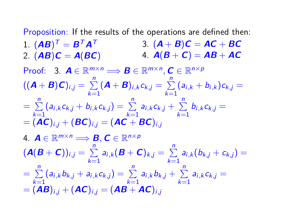Proposition: If the results of the operations are defined then:  $1.$   $(AB)^{T} = B^{T}A^{T}$ 2. (**AB**)**C** = **A**(**BC**) 4. **A**(**B** + **C**) = **AB** + **AC** 3.  $(A + B)C = AC + BC$ Proof: 3.  $A \in \mathbb{R}^{m \times n} \Longrightarrow B \in \mathbb{R}^{m \times n}, C \in \mathbb{R}^{n \times p}$  $((\mathbf{A} + \mathbf{B})\mathbf{C})_{i,j} = \sum_{i=1}^{n}$  $\sum_{k=1}^{n} (A + B)_{i,k} c_{k,j} = \sum_{k=1}^{n}$  $\sum_{k=1}$  $(a_{i,k} + b_{i,k})c_{k,j} =$  $=$   $\sum_{n=1}^{n}$  $\sum_{k=1}^{n} (a_{i,k}c_{k,j} + b_{i,k}c_{k,j}) = \sum_{k=1}^{n} a_{i,k}c_{k,j} + \sum_{k=1}^{n} a_{i,k}c_{k,j}$  $\sum_{k=1} b_{i,k} c_{k,j} =$  $= (AC)_{i,j} + (BC)_{i,j} = (AC + BC)_{i,j}$ 4.  $\mathbf{A} \in \mathbb{R}^{m \times n} \Longrightarrow \mathbf{B}, \mathbf{C} \in \mathbb{R}^{n \times p}$  $(\mathbf{A}(\mathbf{B}+\mathbf{C}))_{i,j}=\sum_{i=1}^{n}$  $\sum_{k=1}^{n} a_{i,k} (B + C)_{k,j} = \sum_{k=1}^{n} a_k$  $\sum_{k=1} a_{i,k} (b_{k,j} + c_{k,j}) =$  $=$   $\sum_{n=1}^{n}$  $\sum_{k=1}^{n} (a_{i,k}b_{k,j} + a_{i,k}c_{k,j}) = \sum_{k=1}^{n} a_{i,k}b_{k,j} + \sum_{k=1}^{n} a_{i,k}b_{k,j}$  $\sum_{k=1} a_{i,k} c_{k,j} =$  $=(\boldsymbol{A}\boldsymbol{B})_{i,j}+(\boldsymbol{A}\boldsymbol{C})_{i,j}=(\boldsymbol{A}\boldsymbol{B}+\boldsymbol{A}\boldsymbol{C})_{i,j}$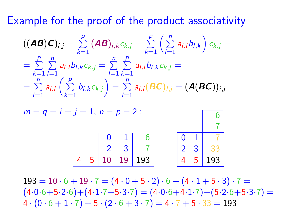Example for the proof of the product associativity

$$
((AB)C)_{i,j} = \sum_{k=1}^{p} (AB)_{i,k} c_{k,j} = \sum_{k=1}^{p} \left(\sum_{l=1}^{n} a_{i,l} b_{l,k}\right) c_{k,j} =
$$
  
= 
$$
\sum_{k=1}^{p} \sum_{l=1}^{n} a_{i,l} b_{l,k} c_{k,j} = \sum_{l=1}^{n} \sum_{k=1}^{p} a_{i,l} b_{l,k} c_{k,j} =
$$
  
= 
$$
\sum_{l=1}^{n} a_{i,l} \left(\sum_{k=1}^{p} b_{l,k} c_{k,j}\right) = \sum_{l=1}^{n} a_{i,l} (BC)_{l,j} = (A(BC))_{i,j}
$$

 $m = q = i = i = 1, n = p = 2$ :  $0 \quad 1 \vert \quad 6$  $2 \quad 3 \mid 7$ 10 19 193 6 7  $0 \quad 1 \vert \quad 7$  $2<sup>2</sup>$ 4 5 193

 $193 = 10 \cdot 6 + 19 \cdot 7 = (4 \cdot 0 + 5 \cdot 2) \cdot 6 + (4 \cdot 1 + 5 \cdot 3) \cdot 7 =$  $(4.0.6+5.2.6)+(4.1.7+5.3.7) = (4.0.6+4.1.7)+(5.2.6+5.3.7) =$  $4 \cdot (0 \cdot 6 + 1 \cdot 7) + 5 \cdot (2 \cdot 6 + 3 \cdot 7) = 4 \cdot 7 + 5 \cdot 33 = 193$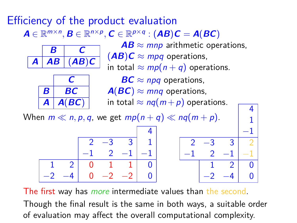## Efficiency of the product evaluation  $\boldsymbol{A} \in \mathbb{R}^{m \times n}, \boldsymbol{B} \in \mathbb{R}^{n \times p}, \boldsymbol{C} \in \mathbb{R}^{p \times q} : (\boldsymbol{A}\boldsymbol{B})\boldsymbol{C} = \boldsymbol{A}(\boldsymbol{B}\boldsymbol{C})$



**C**  $B \mid BC$  $A \mid A(BC)$ 

 $AB \approx mnp$  arithmetic operations,  $(AB)C \approx mpq$  operations, in total  $\approx mp(n+q)$  operations.  $BC \approx npq$  operations,  $A(BC) \approx m n q$  operations, in total  $\approx nq(m+p)$  operations.

4

When  $m \ll n, p, q$ , we get  $mp(n + q) \ll nq(m + p)$ .

| en $m \ll n, p, q$ , we get $mp(n + q) \ll nq(m + p)$ . |  |  |  |  |  |  |  |  |  |
|---------------------------------------------------------|--|--|--|--|--|--|--|--|--|
|                                                         |  |  |  |  |  |  |  |  |  |
|                                                         |  |  |  |  |  |  |  |  |  |
|                                                         |  |  |  |  |  |  |  |  |  |
|                                                         |  |  |  |  |  |  |  |  |  |
|                                                         |  |  |  |  |  |  |  |  |  |

The first way has *more* intermediate values than the second. Though the final result is the same in both ways, a suitable order of evaluation may affect the overall computational complexity.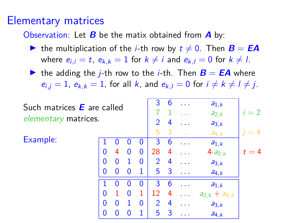## Elementary matrices

Observation: Let **B** be the matix obtained from **A** by:

If the multiplication of the *i*-th row by  $t \neq 0$ . Then  $B = EA$ where  $e_{i,j} = t$ ,  $e_{k,k} = 1$  for  $k \neq i$  and  $e_{k,j} = 0$  for  $k \neq l$ .

If the adding the *j*-th row to the *j*-th. Then  $B = EA$  where  $e_{i,j} = 1$ ,  $e_{k,k} = 1$ , for all k, and  $e_{k,l} = 0$  for  $i \neq k \neq l \neq j$ .

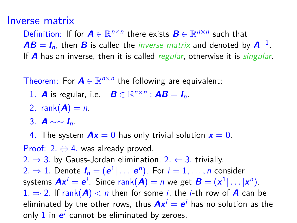#### Inverse matrix

Definition: If for  $A \in \mathbb{R}^{n \times n}$  there exists  $B \in \mathbb{R}^{n \times n}$  such that  $AB = I_n$ , then **B** is called the *inverse matrix* and denoted by  $A^{-1}$ . If **A** has an inverse, then it is called *regular*, otherwise it is *singular*.

Theorem: For  $A \in \mathbb{R}^{n \times n}$  the following are equivalent:

- 1. **A** is regular, i.e.  $\exists \mathbf{B} \in \mathbb{R}^{n \times n}$  :  $\mathbf{A}\mathbf{B} = \mathbf{I}_n$ .
- 2. rank $(A) = n$ .
- 3. **A** ∼∼ **I**n.
- 4. The system  $Ax = 0$  has only trivial solution  $x = 0$ .

Proof: 2*.* ⇔ 4*.* was already proved. 2.  $\Rightarrow$  3. by Gauss-Jordan elimination, 2.  $\Leftarrow$  3. trivially.  $2. \Rightarrow 1.$  Denote  $I_n = (\mathbf{e}^1 | \dots | \mathbf{e}^n).$  For  $i = 1, \dots, n$  consider systems  $Ax^i = e^i$ . Since  $\text{rank}(A) = n$  we get  $B = (x^1 | \dots | x^n)$ . 1.  $\Rightarrow$  2. If rank( $\bf{A}$ )  $<$  n then for some *i*, the *i*-th row of  $\bf{A}$  can be eliminated by the other rows, thus  $\boldsymbol{A} \boldsymbol{x}^i = \boldsymbol{e}^i$  has no solution as the only 1 in  $\boldsymbol{e}^i$  cannot be eliminated by zeroes.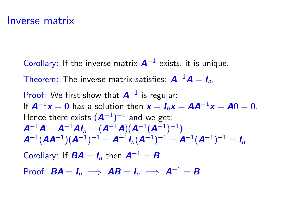#### Inverse matrix

Corollary: If the inverse matrix  $A^{-1}$  exists, it is unique.

Theorem: The inverse matrix satisfies:  $A^{-1}A = I_n$ .

Proof: We first show that **A**−<sup>1</sup> is regular: If  $A^{-1}x = 0$  has a solution then  $x = I_n x = AA^{-1}x = A0 = 0$ . Hence there exists  $(\boldsymbol{A}^{-1})^{-1}$  and we get:  $A^{-1}A = A^{-1}AI_n = (A^{-1}A)(A^{-1}(A^{-1})^{-1}) =$  ${\bm A}^{-1}({\bm A} {\bm A}^{-1})({\bm A}^{-1})^{-1} = {\bm A}^{-1} {\bm I}_n({\bm A}^{-1})^{-1} = {\bm A}^{-1}({\bm A}^{-1})^{-1} = {\bm I}_n$ 

Corollary: If  $\mathbf{BA} = \mathbf{I}_n$  then  $\mathbf{A}^{-1} = \mathbf{B}$ .

Proof:  $BA = I_n \implies AB = I_n \implies A^{-1} = B$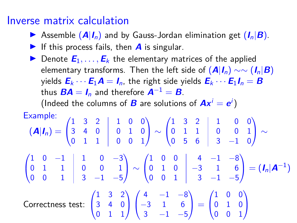## Inverse matrix calculation

- **Example (A|I<sub>n</sub>) and by Gauss-Jordan elimination get (I<sub>n</sub>|B)**.
- If this process fails, then  $\boldsymbol{A}$  is singular.
- **IDERVIFIGHTER** Denote  $\mathbf{E}_1, \ldots, \mathbf{E}_k$  the elementary matrices of the applied elementary transforms. Then the left side of  $(A|I_n) \sim \sim (I_n|B)$ yields  $\mathbf{E}_k \cdots \mathbf{E}_1 \mathbf{A} = \mathbf{I}_n$ , the right side yields  $\mathbf{E}_k \cdots \mathbf{E}_1 \mathbf{I}_n = \mathbf{B}$ thus  $BA = I_n$  and therefore  $A^{-1} = B$ . (Indeed the columns of **B** are solutions of  $Ax^i = e^i$ )

Example:  
\n
$$
(\mathbf{A}|\mathbf{I}_n) = \begin{pmatrix} 1 & 3 & 2 & 1 & 0 & 0 \\ 3 & 4 & 0 & 0 & 1 & 0 \\ 0 & 1 & 1 & 0 & 0 & 1 \end{pmatrix} \sim \begin{pmatrix} 1 & 3 & 2 & 1 & 0 & 0 \\ 0 & 1 & 1 & 0 & 0 & 1 \\ 0 & 5 & 6 & 3 & -1 & 0 \end{pmatrix} \sim \begin{pmatrix} 1 & 0 & -1 & 1 & 0 & -3 \\ 0 & 1 & 1 & 0 & 0 & 1 \\ 0 & 0 & 1 & 3 & -1 & -5 \end{pmatrix} \sim \begin{pmatrix} 1 & 0 & 0 & 4 & -1 & -8 \\ 0 & 1 & 0 & -3 & 1 & 6 \\ 0 & 0 & 1 & 3 & -1 & -5 \end{pmatrix} = (\mathbf{I}_n|\mathbf{A}^{-1})
$$
\nCorrectness test: 
$$
\begin{pmatrix} 1 & 3 & 2 \\ 3 & 4 & 0 \\ 0 & 1 & 1 \end{pmatrix} \begin{pmatrix} 4 & -1 & -8 \\ -3 & 1 & 6 \\ 3 & -1 & -5 \end{pmatrix} = \begin{pmatrix} 1 & 0 & 0 \\ 0 & 1 & 0 \\ 0 & 0 & 1 \end{pmatrix}
$$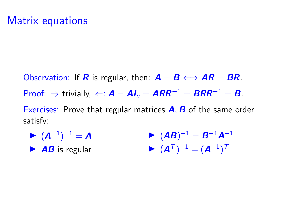## Matrix equations

Observation: If **R** is regular, then:  $A = B \Longleftrightarrow AR = BR$ . Proof:  $\Rightarrow$  trivially,  $\Leftarrow$ :  $A = AI_n = ARR^{-1} = BRR^{-1} = B$ . Exercises: Prove that regular matrices **A***,* **B** of the same order satisfy:

 $\blacktriangleright$   $(A^{-1})^{-1} = A$  $\blacktriangleright$  **AB** is regular  $\blacktriangleright$   $(AB)^{-1} = B^{-1}A^{-1}$  $\blacktriangleright$   $(\mathbf{A}^{\mathsf{T}})^{-1} = (\mathbf{A}^{-1})^{\mathsf{T}}$